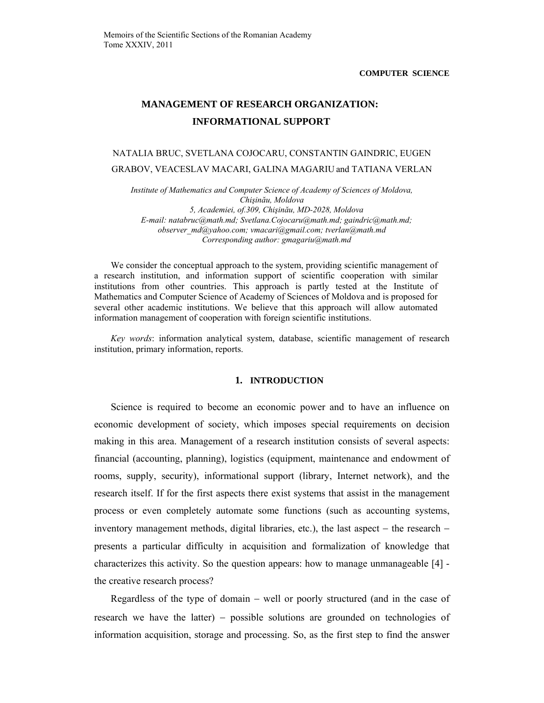# **MANAGEMENT OF RESEARCH ORGANIZATION: INFORMATIONAL SUPPORT**

NATALIA BRUC, SVETLANA COJOCARU, CONSTANTIN GAINDRIC, EUGEN GRABOV, VEACESLAV MACARI, GALINA MAGARIU and TATIANA VERLAN

*Institute of Mathematics and Computer Science of Academy of Sciences of Moldova, Chişinău, Moldova 5, Academiei, of.309, Chişinău, MD-2028, Moldova E-mail: natabruc@math.md; Svetlana.Cojocaru@math.md; gaindric@math.md; observer\_md@yahoo.com; vmacari@gmail.com; tverlan@math.md Corresponding author: gmagariu@math.md* 

We consider the conceptual approach to the system, providing scientific management of a research institution, and information support of scientific cooperation with similar institutions from other countries. This approach is partly tested at the Institute of Mathematics and Computer Science of Academy of Sciences of Moldova and is proposed for several other academic institutions. We believe that this approach will allow automated information management of cooperation with foreign scientific institutions.

*Key words*: information analytical system, database, scientific management of research institution, primary information, reports.

### **1. INTRODUCTION**

Science is required to become an economic power and to have an influence on economic development of society, which imposes special requirements on decision making in this area. Management of a research institution consists of several aspects: financial (accounting, planning), logistics (equipment, maintenance and endowment of rooms, supply, security), informational support (library, Internet network), and the research itself. If for the first aspects there exist systems that assist in the management process or even completely automate some functions (such as accounting systems, inventory management methods, digital libraries, etc.), the last aspect − the research − presents a particular difficulty in acquisition and formalization of knowledge that characterizes this activity. So the question appears: how to manage unmanageable [4] the creative research process?

Regardless of the type of domain − well or poorly structured (and in the case of research we have the latter) − possible solutions are grounded on technologies of information acquisition, storage and processing. So, as the first step to find the answer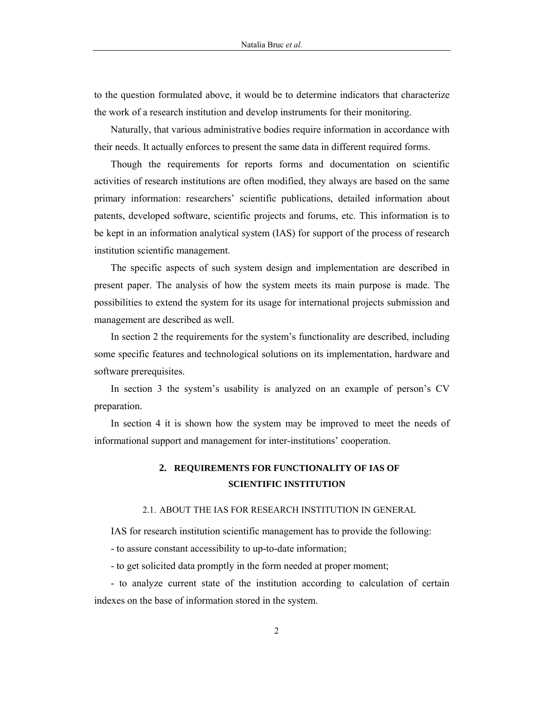to the question formulated above, it would be to determine indicators that characterize the work of a research institution and develop instruments for their monitoring.

Naturally, that various administrative bodies require information in accordance with their needs. It actually enforces to present the same data in different required forms.

Though the requirements for reports forms and documentation on scientific activities of research institutions are often modified, they always are based on the same primary information: researchers' scientific publications, detailed information about patents, developed software, scientific projects and forums, etc. This information is to be kept in an information analytical system (IAS) for support of the process of research institution scientific management.

The specific aspects of such system design and implementation are described in present paper. The analysis of how the system meets its main purpose is made. The possibilities to extend the system for its usage for international projects submission and management are described as well.

In section 2 the requirements for the system's functionality are described, including some specific features and technological solutions on its implementation, hardware and software prerequisites.

In section 3 the system's usability is analyzed on an example of person's CV preparation.

In section 4 it is shown how the system may be improved to meet the needs of informational support and management for inter-institutions' cooperation.

# **2. REQUIREMENTS FOR FUNCTIONALITY OF IAS OF SCIENTIFIC INSTITUTION**

## 2.1. ABOUT THE IAS FOR RESEARCH INSTITUTION IN GENERAL

IAS for research institution scientific management has to provide the following:

- to assure constant accessibility to up-to-date information;

- to get solicited data promptly in the form needed at proper moment;

- to analyze current state of the institution according to calculation of certain indexes on the base of information stored in the system.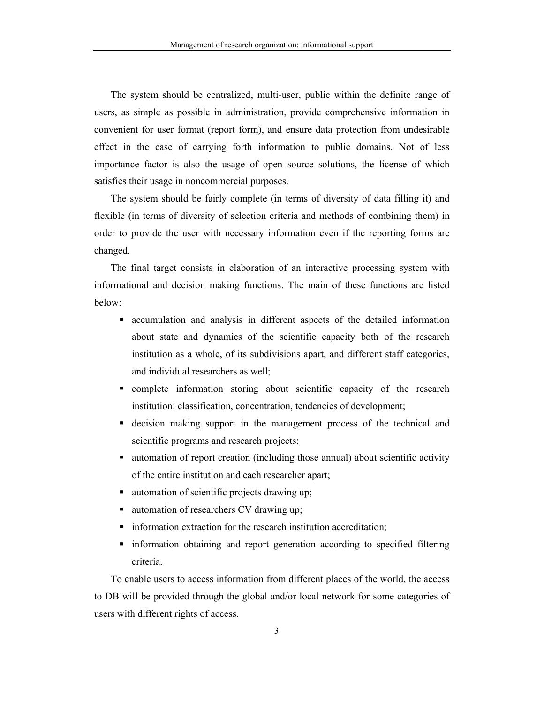The system should be centralized, multi-user, public within the definite range of users, as simple as possible in administration, provide comprehensive information in convenient for user format (report form), and ensure data protection from undesirable effect in the case of carrying forth information to public domains. Not of less importance factor is also the usage of open source solutions, the license of which satisfies their usage in noncommercial purposes.

The system should be fairly complete (in terms of diversity of data filling it) and flexible (in terms of diversity of selection criteria and methods of combining them) in order to provide the user with necessary information even if the reporting forms are changed.

The final target consists in elaboration of an interactive processing system with informational and decision making functions. The main of these functions are listed below:

- accumulation and analysis in different aspects of the detailed information about state and dynamics of the scientific capacity both of the research institution as a whole, of its subdivisions apart, and different staff categories, and individual researchers as well;
- complete information storing about scientific capacity of the research institution: classification, concentration, tendencies of development;
- decision making support in the management process of the technical and scientific programs and research projects;
- automation of report creation (including those annual) about scientific activity of the entire institution and each researcher apart;
- automation of scientific projects drawing up;
- automation of researchers CV drawing up;
- information extraction for the research institution accreditation;
- information obtaining and report generation according to specified filtering criteria.

To enable users to access information from different places of the world, the access to DB will be provided through the global and/or local network for some categories of users with different rights of access.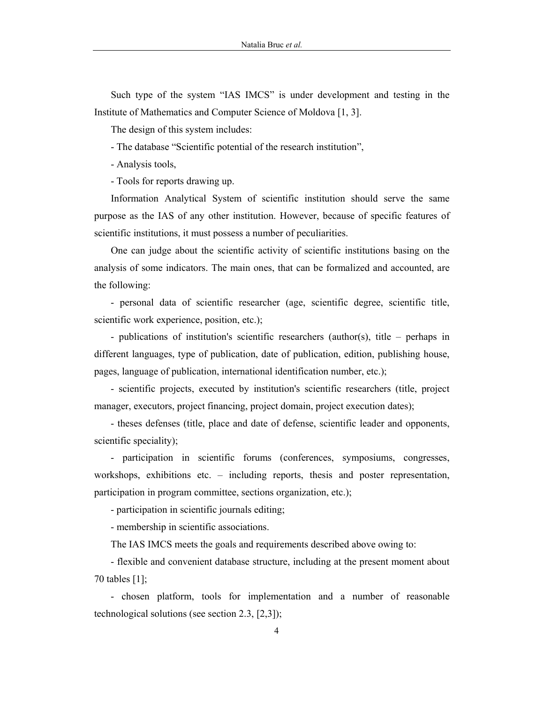Such type of the system "IAS IMCS" is under development and testing in the Institute of Mathematics and Computer Science of Moldova [1, 3].

The design of this system includes:

- The database "Scientific potential of the research institution",

- Analysis tools,

- Tools for reports drawing up.

Information Analytical System of scientific institution should serve the same purpose as the IAS of any other institution. However, because of specific features of scientific institutions, it must possess a number of peculiarities.

One can judge about the scientific activity of scientific institutions basing on the analysis of some indicators. The main ones, that can be formalized and accounted, are the following:

- personal data of scientific researcher (age, scientific degree, scientific title, scientific work experience, position, etc.);

- publications of institution's scientific researchers (author(s), title – perhaps in different languages, type of publication, date of publication, edition, publishing house, pages, language of publication, international identification number, etc.);

- scientific projects, executed by institution's scientific researchers (title, project manager, executors, project financing, project domain, project execution dates);

- theses defenses (title, place and date of defense, scientific leader and opponents, scientific speciality);

- participation in scientific forums (conferences, symposiums, congresses, workshops, exhibitions etc. – including reports, thesis and poster representation, participation in program committee, sections organization, etc.);

- participation in scientific journals editing;

- membership in scientific associations.

The IAS IMCS meets the goals and requirements described above owing to:

- flexible and convenient database structure, including at the present moment about 70 tables [1];

- chosen platform, tools for implementation and a number of reasonable technological solutions (see section 2.3, [2,3]);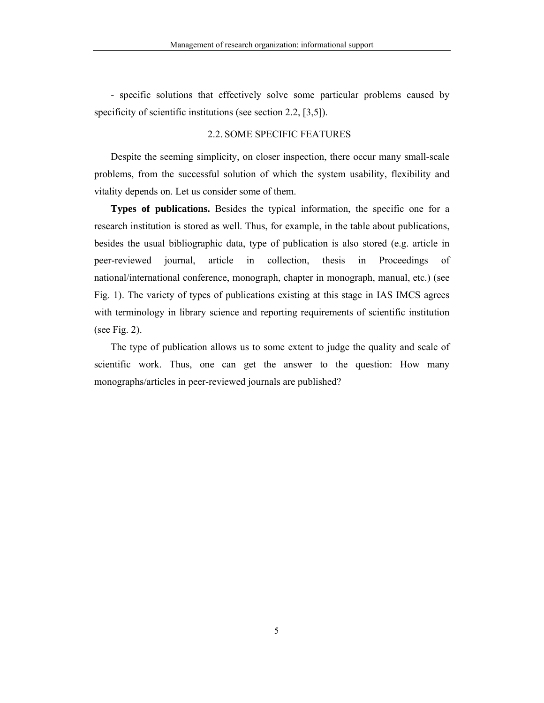- specific solutions that effectively solve some particular problems caused by specificity of scientific institutions (see section 2.2, [3,5]).

### 2.2. SOME SPECIFIC FEATURES

Despite the seeming simplicity, on closer inspection, there occur many small-scale problems, from the successful solution of which the system usability, flexibility and vitality depends on. Let us consider some of them.

**Types of publications.** Besides the typical information, the specific one for a research institution is stored as well. Thus, for example, in the table about publications, besides the usual bibliographic data, type of publication is also stored (e.g. article in peer-reviewed journal, article in collection, thesis in Proceedings of national/international conference, monograph, chapter in monograph, manual, etc.) (see Fig. 1). The variety of types of publications existing at this stage in IAS IMCS agrees with terminology in library science and reporting requirements of scientific institution (see Fig. 2).

The type of publication allows us to some extent to judge the quality and scale of scientific work. Thus, one can get the answer to the question: How many monographs/articles in peer-reviewed journals are published?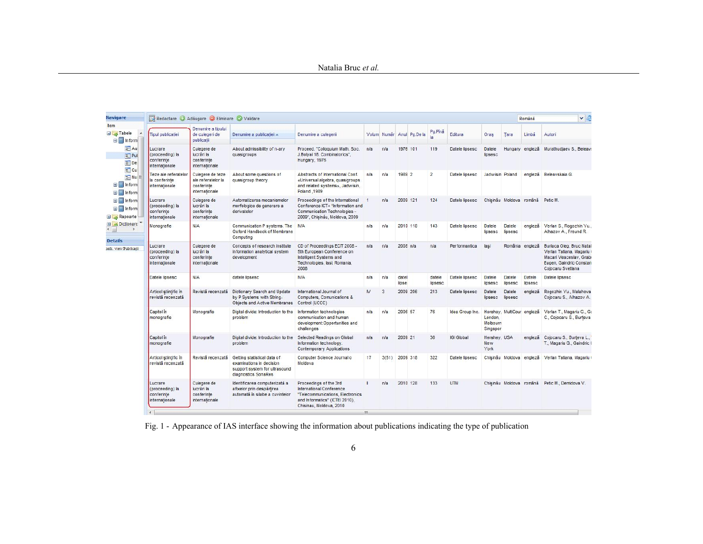#### Natalia Bruc *et al.*

| Navigare                                                                                                                                                                                                                                                   | Redactare Adăugare Bliminare Validare                      |                                                                        |                                                                                                                 |                                                                                                                                                     |                |       |                |                           |                   |                   |                                    |                            | Română            | v e                                                                                                                            |
|------------------------------------------------------------------------------------------------------------------------------------------------------------------------------------------------------------------------------------------------------------|------------------------------------------------------------|------------------------------------------------------------------------|-----------------------------------------------------------------------------------------------------------------|-----------------------------------------------------------------------------------------------------------------------------------------------------|----------------|-------|----------------|---------------------------|-------------------|-------------------|------------------------------------|----------------------------|-------------------|--------------------------------------------------------------------------------------------------------------------------------|
| ttem<br><b>B</b> Tabele<br>$\Box$ Inform<br>$\equiv$ Au<br>$E$ Pul<br>$E$ De<br>$\equiv$ Cu<br>$\equiv$ Nu<br><b>E</b> Inform<br><b>E</b> Inform<br><b>E</b> Inform<br><b>B</b> Inform<br>Rapoarte<br>Dictionare<br><b>Details</b><br>ath: view/Publicații | <b>Tipul publicatiei</b>                                   | Denumire a tipului<br>de culegeri de<br>publicatii                     | Denumire a publicatiei A                                                                                        | Denumire a culegerii                                                                                                                                |                |       |                | Volum Număr Anul Pg.De la | Pg.Pină           | Editura           | Oras                               | Tara                       | Limbă             | Autori                                                                                                                         |
|                                                                                                                                                                                                                                                            | Lucrare<br>(proceeding) la<br>conferinte<br>internationale | Culegere de<br>lucrări la<br>conferinte<br>internationale              | About admissibility of n-ary<br>quasigroups                                                                     | Proceed. "Colloquium Math. Soc.<br>J.Bolyai 18. Combinatorics",<br>Hungary, 1976                                                                    | n/a            | n/a   | 1976 101       |                           | 119               | Datele lipsesc    | Datele<br>lipsesc                  |                            | Hungary engleză   | Murathudiaev S., Beleave                                                                                                       |
|                                                                                                                                                                                                                                                            | Teze ale referatelor<br>la conferinte<br>internationale    | Culegere de teze<br>ale referatelor la<br>conferinte<br>internationale | About some questions of<br>quasigroup theory                                                                    | Abstracts of International Conf.<br>«Universal algebra, quasigroups<br>and related systems», Jadwisin,<br>Poland .1989                              | n/a            | n/a   | 1989 2         |                           | $\overline{2}$    | Datele lipsesc    | Jadwisin Poland                    |                            | engleză           | Beleavskaia G.                                                                                                                 |
|                                                                                                                                                                                                                                                            | Lucrare<br>(proceeding) la<br>conferinte<br>internationale | Culegere de<br>lucrări la<br>conferinte<br>internationale              | Automatizarea mecanismelor<br>morfologice de generare a<br>derivatelor                                          | Proceedings of the International<br>Conference ICT+ "Information and<br>Communication Technologies -<br>2009", Chişinău, Moldova, 2009              | $\overline{1}$ | n/a   | 2009 121       |                           | 124               | Datele lipsesc    |                                    | Chisinău Moldova română    |                   | Petic M.                                                                                                                       |
|                                                                                                                                                                                                                                                            | Monografie                                                 | N/A                                                                    | Communication P systems, The N/A<br>Oxford Handbook of Membrane<br>Computing                                    |                                                                                                                                                     | n/a            | n/a   | 2010 118       |                           | 143               | Datele lipsesc    | Datele<br>lipsesc                  | Datele<br>lipsesc          | engleză           | Verlan S., Rogozhin Yu.,<br>Alhazov A., Freund R.                                                                              |
|                                                                                                                                                                                                                                                            | Lucrare<br>(proceeding) la<br>conferinte<br>internationale | Culegere de<br>lucrări la<br>conferinte<br>internationale              | Concepts of research institute<br>information analytical system<br>development                                  | CD of Proceedings ECIT 2008 -<br>5th European Conference on<br>Intelligent Systems and<br>Technologies, lasi, Romania,<br>2008                      | n/a            | n/a   | $2008$ n/a     |                           | n/a               | Performantica     | lasi                               |                            | România engleză   | Burlaca Oleg, Bruc Natal<br>Verlan Tatiana, Magariu<br>Macari Veaceslav, Grabi<br>Eugen, Gaindric Constan<br>Cojocaru Svetlana |
|                                                                                                                                                                                                                                                            | Datele lipsesc                                             | N/A                                                                    | datele lipsesc                                                                                                  | <b>N/A</b>                                                                                                                                          | n/a            | n/a   | datel<br>lipse |                           | datele<br>lipsesc | Datele lipsesc    | Datele<br>lipsesc                  | Datele<br>lipsesc          | Datele<br>lipsesc | Datele lipsesc                                                                                                                 |
|                                                                                                                                                                                                                                                            | Articol stiintific in<br>revistă recenzată                 | Revistă recenzată                                                      | Dictionary Search and Update<br>by P Systems with String-<br>Objects and Active Membranes Control (UCCC)        | International Journal of<br>Computers, Comunications &                                                                                              | $\mathsf{N}$   | 3     | 2009 206       |                           | 213               | Datele lipsesc    | Datele<br>lipsesc                  | Datele<br>lipsesc          | engleză           | Rogozhin Yu., Malahova<br>Cojocaru S., Alhazov A.                                                                              |
|                                                                                                                                                                                                                                                            | Capitol in<br>monografie                                   | Monografie                                                             | Digital divide: Introduction to the<br>problem                                                                  | Information technologies<br>communication and human<br>development:Opportunities and<br>challenges                                                  | n/a            | n/a   | 2006 57        |                           | 76                | Idea Group Inc.   | London<br>Melbourn<br>Singapor     | Hershey, MultiCour engleză |                   | Verlan T., Magariu G., Ga<br>C., Cojocaru S., Burteva                                                                          |
|                                                                                                                                                                                                                                                            | Capitol in<br>monografie                                   | Monografie                                                             | Digital divide: Introduction to the<br>problem                                                                  | Selected Readings on Global<br>Information technology.<br><b>Contemporary Applications</b>                                                          | n/a            | n/a   | 2009 21        |                           | 36                | <b>IGI Global</b> | Hershey, USA<br><b>New</b><br>York |                            | engleză           | Cojocaru S., Burteva L.,<br>T., Magariu G., Gaindric (                                                                         |
|                                                                                                                                                                                                                                                            | Articol stiintific in<br>revistă recenzată                 | Revistă recenzată                                                      | Getting statistical data of<br>examinations in decision<br>support system for ultrasound<br>diagnostics SonaRes | Computer Science Journal o<br>Moldova                                                                                                               | 17             | 3(51) | 2009 318       |                           | 322               | Datele lipsesc    |                                    | Chisinău Moldova           |                   | engleză Verlan Tatiana, Magariu (                                                                                              |
|                                                                                                                                                                                                                                                            | Lucrare<br>(proceeding) la<br>conferinte<br>internationale | Culegere de<br>lucrări la<br>conferinte<br>internationale              | Identificarea computerizată a<br>afixelor prin despărtirea<br>automată în silabe a cuvintelor                   | Proceedings of the 3rd<br>International Conference<br>"Telecommunications, Electronics<br>and Informatics" (ICTEI 2010),<br>Chisinau, Moldova, 2010 |                | n/a   | 2010 128       |                           | 133               | <b>UTM</b>        |                                    | Chisinău Moldova română    |                   | Petic M., Demidova V.                                                                                                          |

Fig. 1 - Appearance of IAS interface showing the information about publications indicating the type of publication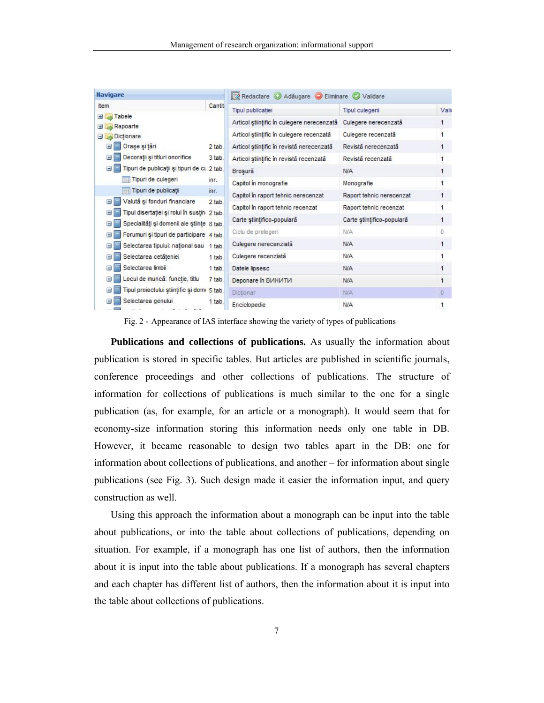| <b>Navigare</b>                                                                              |        | Redactare Adăugare Eliminare Validare      |                            |                |  |  |  |
|----------------------------------------------------------------------------------------------|--------|--------------------------------------------|----------------------------|----------------|--|--|--|
| <b>tem</b>                                                                                   | Cantit | <b>Tipul publicatiei</b>                   | <b>Tipul culegerii</b>     | Vali           |  |  |  |
| <b>El</b> Tabele<br>Rapoarte<br>Ŧ                                                            |        | Articol stiințific în culegere nerecenzată | Culegere nerecenzată       |                |  |  |  |
| Dictionare<br>ΞΙ                                                                             |        | Articol stiințific în culegere recenzată   | Culegere recenzată         | $\mathbf{1}$   |  |  |  |
| De Orașe și țări                                                                             | 2 tab. | Articol științific în revistă nerecenzată  | Revistă nerecenzată        | 1              |  |  |  |
| Decorații și titluri onorifice<br>$\pm 1$                                                    | 3 tab. | Articol stiintific în revistă recenzată    | Revistă recenzată          | 1              |  |  |  |
| Tipuri de publicații și tipuri de cu 2 tab.<br>$\equiv$                                      |        | Brosură                                    | N/A                        | 1              |  |  |  |
| Tipuri de culegeri                                                                           | inr.   | Capitol in monografie                      | Monografie                 | $\mathbf{1}$   |  |  |  |
| Tipuri de publicatii                                                                         | int.   | Capitol în raport tehnic nerecenzat        | Raport tehnic nerecenzat   | 1              |  |  |  |
| Valută și fonduri financiare<br>$\pm$                                                        | 2 tab. | Capitol in raport tehnic recenzat          | Raport tehnic recenzat     | 1              |  |  |  |
| Tipul disertației și rolul în susțin 2 tab.<br>Ŧ                                             |        | Carte stiintifico-populară                 | Carte științifico-populară | 1              |  |  |  |
| Specialități și domenii ale științe 8 tab.<br>$\pm$                                          |        | Ciclu de prelegeri                         | <b>N/A</b>                 | $\mathbf 0$    |  |  |  |
| Forumuri și tipuri de participare 4 tab.<br>Selectarea tipului: național sau 1 tab.<br>$\pm$ |        | Culegere nerecenziată                      | N/A                        | 1              |  |  |  |
| Selectarea cetățeniei<br>Ŧ                                                                   | 1 tab. | Culegere recenziată                        | <b>N/A</b>                 | 1              |  |  |  |
| Selectarea limbii<br>$\pm$                                                                   | 1 tab. | Datele lipsesc                             | N/A                        | 1              |  |  |  |
| Locul de muncă: funcție, titlu<br>Ŧ                                                          | 7 tab. | Deponare in BIAHIATIA                      | <b>N/A</b>                 | $\overline{1}$ |  |  |  |
| Tipul proiectului științific și domi 5 tab.                                                  |        | Dictionar                                  | <b>N/A</b>                 | $\mathbf{0}$   |  |  |  |
| Selectarea genului                                                                           | 1 tab. | Enciclopedie                               | N/A                        | 1              |  |  |  |

Fig. 2 - Appearance of IAS interface showing the variety of types of publications

**Publications and collections of publications.** As usually the information about publication is stored in specific tables. But articles are published in scientific journals, conference proceedings and other collections of publications. The structure of information for collections of publications is much similar to the one for a single publication (as, for example, for an article or a monograph). It would seem that for economy-size information storing this information needs only one table in DB. However, it became reasonable to design two tables apart in the DB: one for information about collections of publications, and another – for information about single publications (see Fig. 3). Such design made it easier the information input, and query construction as well.

Using this approach the information about a monograph can be input into the table about publications, or into the table about collections of publications, depending on situation. For example, if a monograph has one list of authors, then the information about it is input into the table about publications. If a monograph has several chapters and each chapter has different list of authors, then the information about it is input into the table about collections of publications.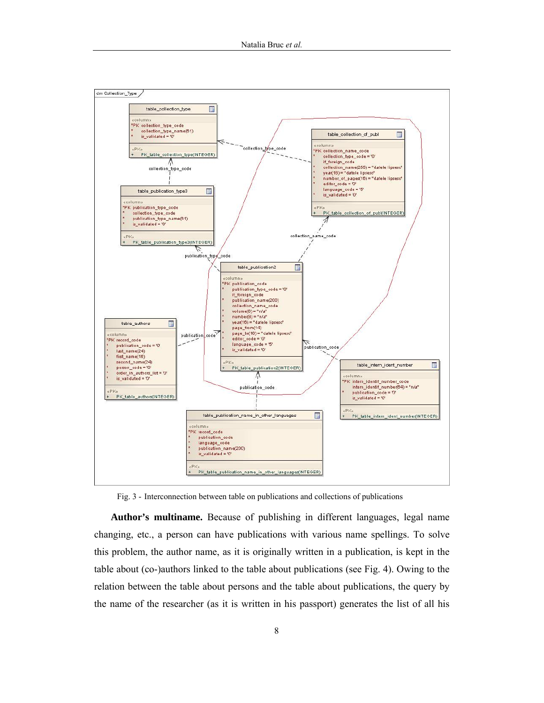

Fig. 3 - Interconnection between table on publications and collections of publications

**Author's multiname.** Because of publishing in different languages, legal name changing, etc., a person can have publications with various name spellings. To solve this problem, the author name, as it is originally written in a publication, is kept in the table about (co-)authors linked to the table about publications (see Fig. 4). Owing to the relation between the table about persons and the table about publications, the query by the name of the researcher (as it is written in his passport) generates the list of all his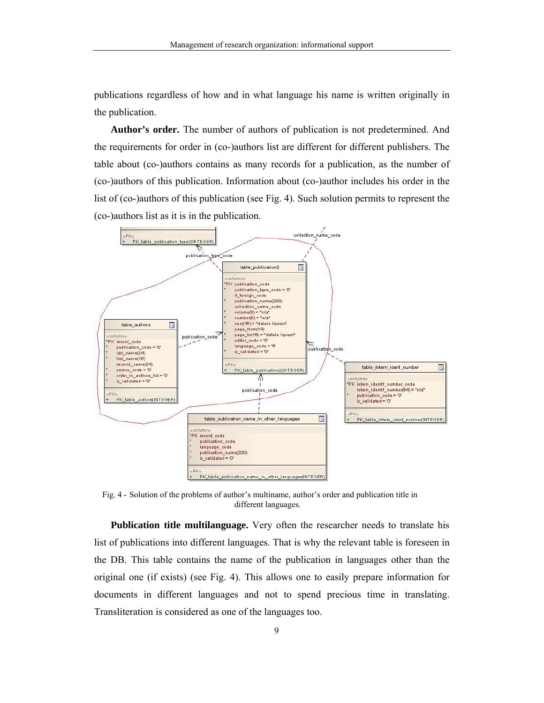publications regardless of how and in what language his name is written originally in the publication.

**Author's order.** The number of authors of publication is not predetermined. And the requirements for order in (co-)authors list are different for different publishers. The table about (co-)authors contains as many records for a publication, as the number of (co-)authors of this publication. Information about (co-)author includes his order in the list of (co-)authors of this publication (see Fig. 4). Such solution permits to represent the (co-)authors list as it is in the publication.



Fig. 4 - Solution of the problems of author's multiname, author's order and publication title in different languages.

**Publication title multilanguage.** Very often the researcher needs to translate his list of publications into different languages. That is why the relevant table is foreseen in the DB. This table contains the name of the publication in languages other than the original one (if exists) (see Fig. 4). This allows one to easily prepare information for documents in different languages and not to spend precious time in translating. Transliteration is considered as one of the languages too.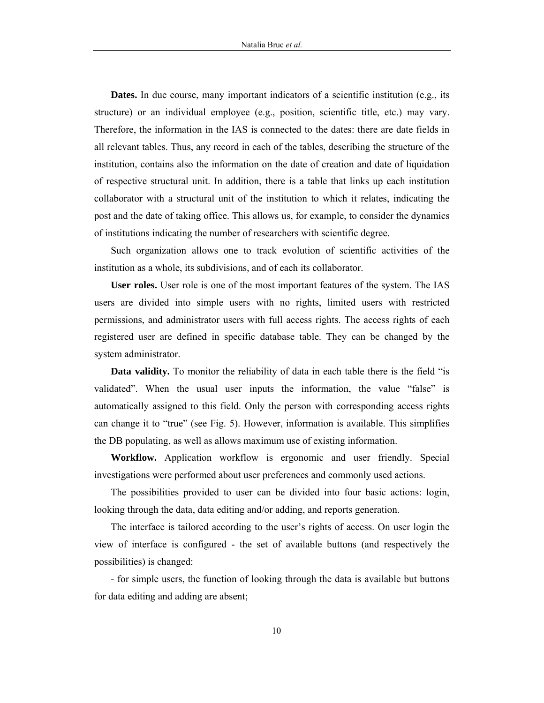**Dates.** In due course, many important indicators of a scientific institution (e.g., its structure) or an individual employee (e.g., position, scientific title, etc.) may vary. Therefore, the information in the IAS is connected to the dates: there are date fields in all relevant tables. Thus, any record in each of the tables, describing the structure of the institution, contains also the information on the date of creation and date of liquidation of respective structural unit. In addition, there is a table that links up each institution collaborator with a structural unit of the institution to which it relates, indicating the post and the date of taking office. This allows us, for example, to consider the dynamics of institutions indicating the number of researchers with scientific degree.

Such organization allows one to track evolution of scientific activities of the institution as a whole, its subdivisions, and of each its collaborator.

**User roles.** User role is one of the most important features of the system. The IAS users are divided into simple users with no rights, limited users with restricted permissions, and administrator users with full access rights. The access rights of each registered user are defined in specific database table. They can be changed by the system administrator.

**Data validity.** To monitor the reliability of data in each table there is the field "is validated". When the usual user inputs the information, the value "false" is automatically assigned to this field. Only the person with corresponding access rights can change it to "true" (see Fig. 5). However, information is available. This simplifies the DB populating, as well as allows maximum use of existing information.

**Workflow.** Application workflow is ergonomic and user friendly. Special investigations were performed about user preferences and commonly used actions.

The possibilities provided to user can be divided into four basic actions: login, looking through the data, data editing and/or adding, and reports generation.

The interface is tailored according to the user's rights of access. On user login the view of interface is configured - the set of available buttons (and respectively the possibilities) is changed:

- for simple users, the function of looking through the data is available but buttons for data editing and adding are absent;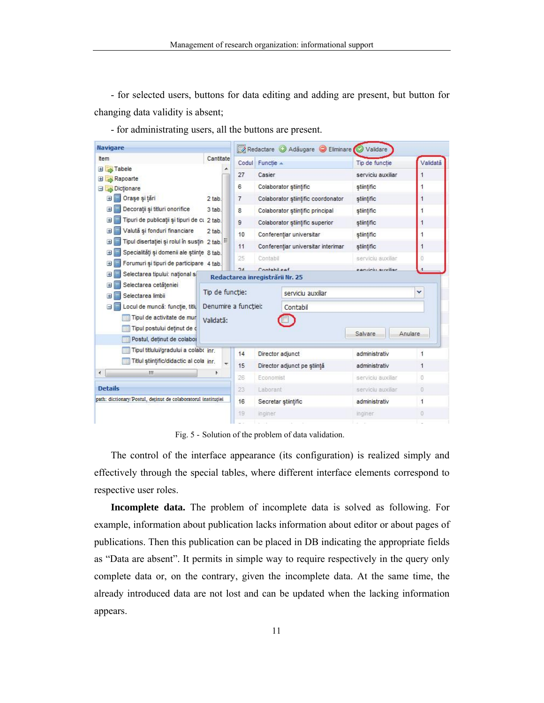- for selected users, buttons for data editing and adding are present, but button for changing data validity is absent;

- for administrating users, all the buttons are present.

| <b>Navigare</b>                                                |                 |                                  | Redactare Adăugare Eliminare<br>Validare |                    |          |  |  |  |  |
|----------------------------------------------------------------|-----------------|----------------------------------|------------------------------------------|--------------------|----------|--|--|--|--|
| Item                                                           | Cantitate       |                                  | Codul Functie A                          | Tip de functie     | Validată |  |  |  |  |
| Tabele<br>H                                                    |                 | 27                               | Casier                                   | serviciu auxiliar  | 1        |  |  |  |  |
| Rapoarte<br>$\pm$<br><b>N</b> Dictionare<br>эι                 |                 | 6                                | Colaborator stiintific                   | stiintific         |          |  |  |  |  |
| Orașe și tări<br>$\pm$                                         | 2 tab.          | $\overline{7}$                   | Colaborator stiintific coordonator       | stiintific         | 1        |  |  |  |  |
| Decorații și titluri onorifice<br>Ŧ                            | 3 tab.          | 8                                | Colaborator stiintific principal         | stiintific         | 1        |  |  |  |  |
| Tipuri de publicații și tipuri de cu 2 tab.<br>$\pm$           |                 | $\overline{9}$                   | Colaborator stiintific superior          | stiintific         | 1        |  |  |  |  |
| Valută și fonduri financiare<br>H                              | 2 tab.          | 10                               | Conferentiar universitar                 | stiintific         |          |  |  |  |  |
| Tipul disertației și rolul în susțin 2 tab.                    |                 | 11                               | Conferentiar universitar interimar       | stiintific         | 1        |  |  |  |  |
| Specialități și domenii ale științe 8 tab.<br>Ŧ                |                 | 25                               | Contabil                                 | serviciu auxiliar  | Ω        |  |  |  |  |
| Forumuri și tipuri de participare 4 tab.<br>Ŧ                  |                 | 2A                               | Contabileaf                              | particili guviliar |          |  |  |  |  |
| Selectarea tipului: national s<br>H                            |                 | Redactarea inregistrării Nr. 25  |                                          |                    |          |  |  |  |  |
| Selectarea cetăteniei<br>H<br>Selectarea limbii                | Tip de functie: |                                  | serviciu auxiliar                        |                    | v        |  |  |  |  |
| Locul de muncă: funcție, titlu                                 |                 | Denumire a functiei:<br>Contabil |                                          |                    |          |  |  |  |  |
| Tipul de activitate de mur                                     | Validată:       |                                  |                                          |                    |          |  |  |  |  |
| Tipul postului detinut de c<br>睴<br>Postul, detinut de colabor |                 |                                  |                                          | Salvare            | Anulare  |  |  |  |  |
| Tipul titlului/gradului a colabo inr.                          |                 | 14                               | Director adjunct                         | administrativ      | 1        |  |  |  |  |
| Titlul stiintific/didactic al cola inr.                        |                 | 15                               | Director adjunct pe stiință              | administrativ      | 1        |  |  |  |  |
| ш<br>۰                                                         |                 | 26                               | Economist                                | serviciu auxiliar  | ō        |  |  |  |  |
| <b>Details</b>                                                 |                 |                                  | Laborant                                 | serviciu auxiliar. | O.       |  |  |  |  |
| path: dictionary/Postul, detinut de colaboratorul instituției  | 16              | Secretar stiintific              | administrativ                            | 1                  |          |  |  |  |  |
|                                                                |                 | 19                               | inginer                                  | inginer            | o        |  |  |  |  |
|                                                                |                 |                                  |                                          |                    |          |  |  |  |  |

Fig. 5 - Solution of the problem of data validation.

The control of the interface appearance (its configuration) is realized simply and effectively through the special tables, where different interface elements correspond to respective user roles.

**Incomplete data.** The problem of incomplete data is solved as following. For example, information about publication lacks information about editor or about pages of publications. Then this publication can be placed in DB indicating the appropriate fields as "Data are absent". It permits in simple way to require respectively in the query only complete data or, on the contrary, given the incomplete data. At the same time, the already introduced data are not lost and can be updated when the lacking information appears.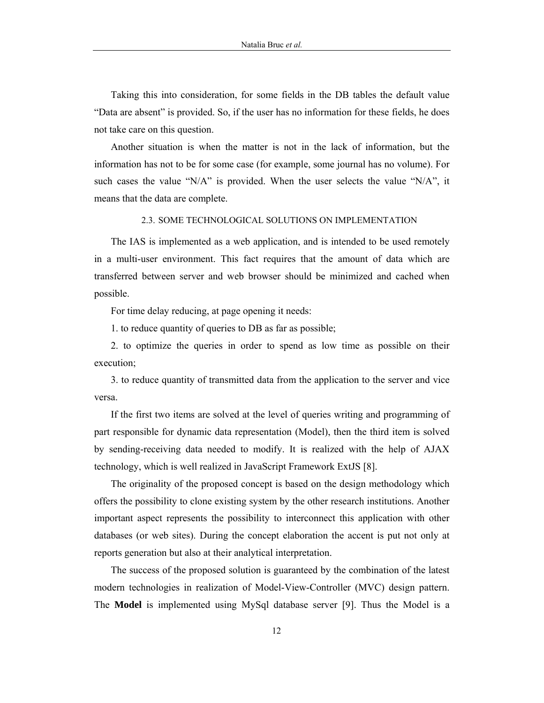Taking this into consideration, for some fields in the DB tables the default value "Data are absent" is provided. So, if the user has no information for these fields, he does not take care on this question.

Another situation is when the matter is not in the lack of information, but the information has not to be for some case (for example, some journal has no volume). For such cases the value "N/A" is provided. When the user selects the value "N/A", it means that the data are complete.

#### 2.3. SOME TECHNOLOGICAL SOLUTIONS ON IMPLEMENTATION

The IAS is implemented as a web application, and is intended to be used remotely in a multi-user environment. This fact requires that the amount of data which are transferred between server and web browser should be minimized and cached when possible.

For time delay reducing, at page opening it needs:

1. to reduce quantity of queries to DB as far as possible;

2. to optimize the queries in order to spend as low time as possible on their execution;

3. to reduce quantity of transmitted data from the application to the server and vice versa.

If the first two items are solved at the level of queries writing and programming of part responsible for dynamic data representation (Model), then the third item is solved by sending-receiving data needed to modify. It is realized with the help of AJAX technology, which is well realized in JavaScript Framework ExtJS [8].

The originality of the proposed concept is based on the design methodology which offers the possibility to clone existing system by the other research institutions. Another important aspect represents the possibility to interconnect this application with other databases (or web sites). During the concept elaboration the accent is put not only at reports generation but also at their analytical interpretation.

The success of the proposed solution is guaranteed by the combination of the latest modern technologies in realization of Model-View-Controller (MVC) design pattern. The **Model** is implemented using MySql database server [9]. Thus the Model is a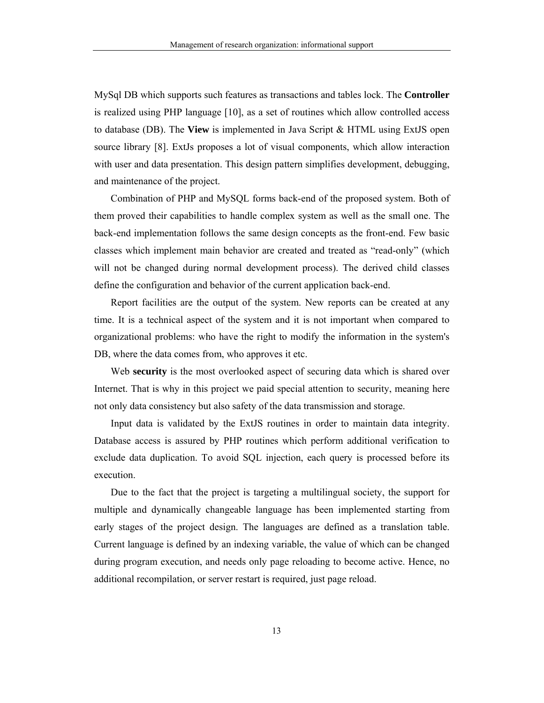MySql DB which supports such features as transactions and tables lock. The **Controller** is realized using PHP language [10], as a set of routines which allow controlled access to database (DB). The **View** is implemented in Java Script & HTML using ExtJS open source library [8]. ExtJs proposes a lot of visual components, which allow interaction with user and data presentation. This design pattern simplifies development, debugging, and maintenance of the project.

Combination of PHP and MySQL forms back-end of the proposed system. Both of them proved their capabilities to handle complex system as well as the small one. The back-end implementation follows the same design concepts as the front-end. Few basic classes which implement main behavior are created and treated as "read-only" (which will not be changed during normal development process). The derived child classes define the configuration and behavior of the current application back-end.

Report facilities are the output of the system. New reports can be created at any time. It is a technical aspect of the system and it is not important when compared to organizational problems: who have the right to modify the information in the system's DB, where the data comes from, who approves it etc.

Web **security** is the most overlooked aspect of securing data which is shared over Internet. That is why in this project we paid special attention to security, meaning here not only data consistency but also safety of the data transmission and storage.

Input data is validated by the ExtJS routines in order to maintain data integrity. Database access is assured by PHP routines which perform additional verification to exclude data duplication. To avoid SQL injection, each query is processed before its execution.

Due to the fact that the project is targeting a multilingual society, the support for multiple and dynamically changeable language has been implemented starting from early stages of the project design. The languages are defined as a translation table. Current language is defined by an indexing variable, the value of which can be changed during program execution, and needs only page reloading to become active. Hence, no additional recompilation, or server restart is required, just page reload.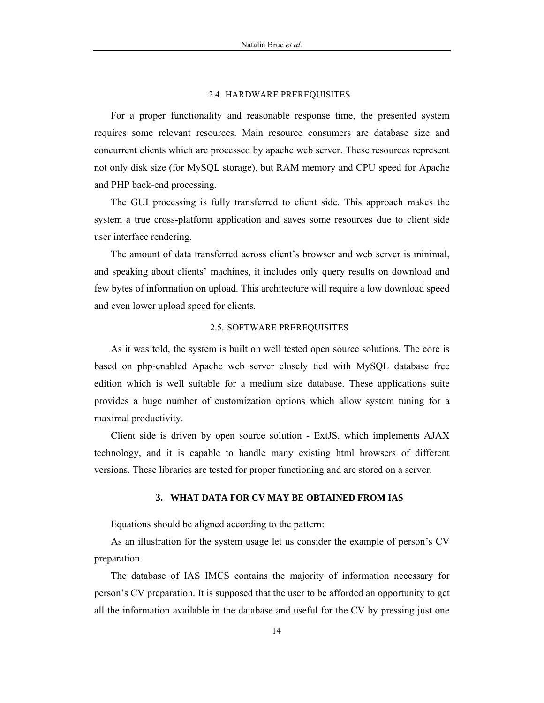#### 2.4. HARDWARE PREREQUISITES

For a proper functionality and reasonable response time, the presented system requires some relevant resources. Main resource consumers are database size and concurrent clients which are processed by apache web server. These resources represent not only disk size (for MySQL storage), but RAM memory and CPU speed for Apache and PHP back-end processing.

The GUI processing is fully transferred to client side. This approach makes the system a true cross-platform application and saves some resources due to client side user interface rendering.

The amount of data transferred across client's browser and web server is minimal, and speaking about clients' machines, it includes only query results on download and few bytes of information on upload. This architecture will require a low download speed and even lower upload speed for clients.

#### 2.5. SOFTWARE PREREQUISITES

As it was told, the system is built on well tested open source solutions. The core is based on php-enabled Apache web server closely tied with MySQL database free edition which is well suitable for a medium size database. These applications suite provides a huge number of customization options which allow system tuning for a maximal productivity.

Client side is driven by open source solution - ExtJS, which implements AJAX technology, and it is capable to handle many existing html browsers of different versions. These libraries are tested for proper functioning and are stored on a server.

# **3. WHAT DATA FOR CV MAY BE OBTAINED FROM IAS**

Equations should be aligned according to the pattern:

As an illustration for the system usage let us consider the example of person's CV preparation.

The database of IAS IMCS contains the majority of information necessary for person's CV preparation. It is supposed that the user to be afforded an opportunity to get all the information available in the database and useful for the CV by pressing just one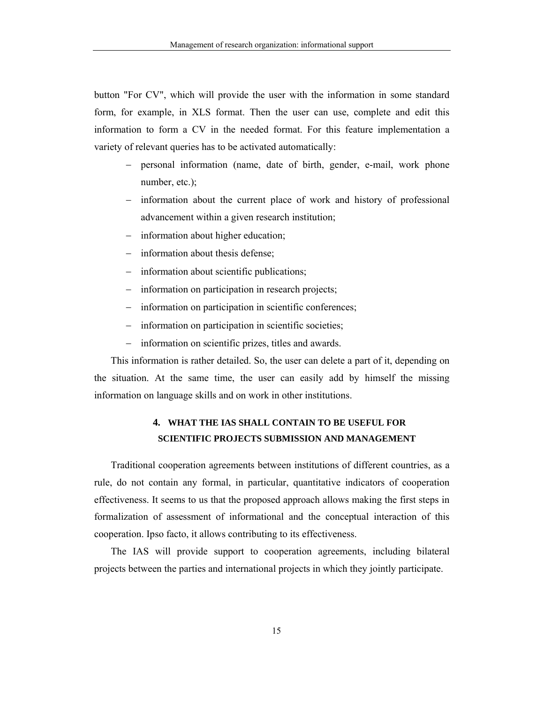button "For CV", which will provide the user with the information in some standard form, for example, in XLS format. Then the user can use, complete and edit this information to form a CV in the needed format. For this feature implementation a variety of relevant queries has to be activated automatically:

- − personal information (name, date of birth, gender, e-mail, work phone number, etc.);
- − information about the current place of work and history of professional advancement within a given research institution;
- − information about higher education;
- − information about thesis defense;
- − information about scientific publications;
- − information on participation in research projects;
- − information on participation in scientific conferences;
- − information on participation in scientific societies;
- − information on scientific prizes, titles and awards.

This information is rather detailed. So, the user can delete a part of it, depending on the situation. At the same time, the user can easily add by himself the missing information on language skills and on work in other institutions.

# **4. WHAT THE IAS SHALL CONTAIN TO BE USEFUL FOR SCIENTIFIC PROJECTS SUBMISSION AND MANAGEMENT**

Traditional cooperation agreements between institutions of different countries, as a rule, do not contain any formal, in particular, quantitative indicators of cooperation effectiveness. It seems to us that the proposed approach allows making the first steps in formalization of assessment of informational and the conceptual interaction of this cooperation. Ipso facto, it allows contributing to its effectiveness.

The IAS will provide support to cooperation agreements, including bilateral projects between the parties and international projects in which they jointly participate.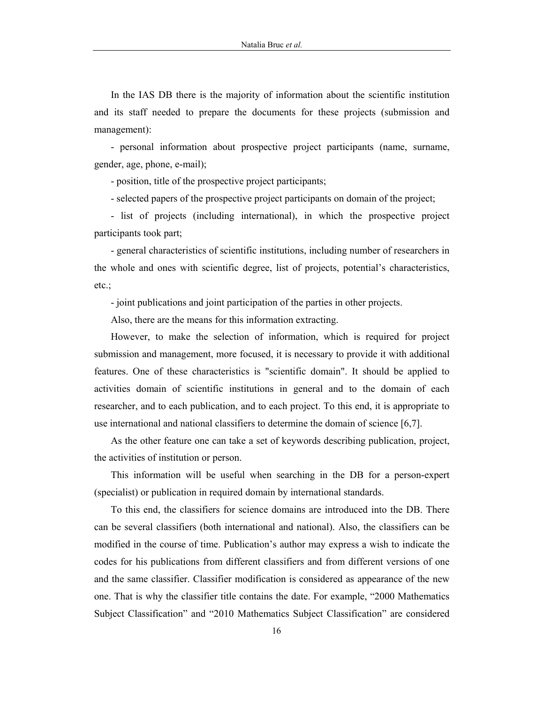In the IAS DB there is the majority of information about the scientific institution and its staff needed to prepare the documents for these projects (submission and management):

- personal information about prospective project participants (name, surname, gender, age, phone, e-mail);

- position, title of the prospective project participants;

- selected papers of the prospective project participants on domain of the project;

- list of projects (including international), in which the prospective project participants took part;

- general characteristics of scientific institutions, including number of researchers in the whole and ones with scientific degree, list of projects, potential's characteristics, etc.;

- joint publications and joint participation of the parties in other projects.

Also, there are the means for this information extracting.

However, to make the selection of information, which is required for project submission and management, more focused, it is necessary to provide it with additional features. One of these characteristics is "scientific domain". It should be applied to activities domain of scientific institutions in general and to the domain of each researcher, and to each publication, and to each project. To this end, it is appropriate to use international and national classifiers to determine the domain of science [6,7].

As the other feature one can take a set of keywords describing publication, project, the activities of institution or person.

This information will be useful when searching in the DB for a person-expert (specialist) or publication in required domain by international standards.

To this end, the classifiers for science domains are introduced into the DB. There can be several classifiers (both international and national). Also, the classifiers can be modified in the course of time. Publication's author may express a wish to indicate the codes for his publications from different classifiers and from different versions of one and the same classifier. Classifier modification is considered as appearance of the new one. That is why the classifier title contains the date. For example, "2000 Mathematics Subject Classification" and "2010 Mathematics Subject Classification" are considered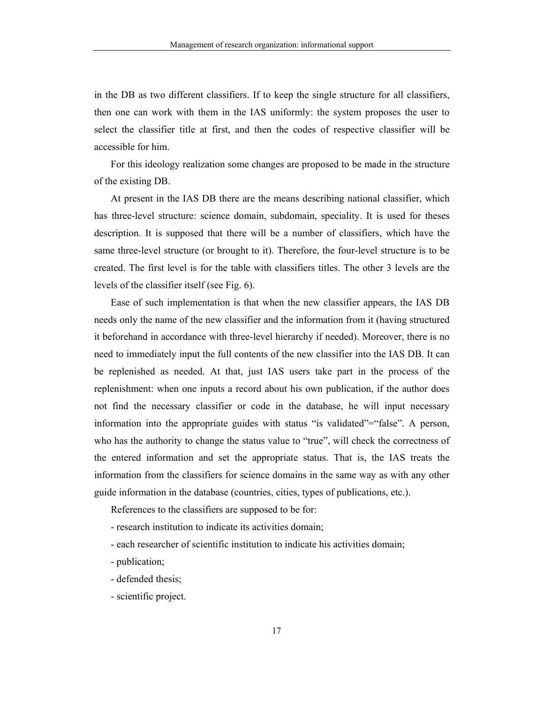in the DB as two different classifiers. If to keep the single structure for all classifiers, then one can work with them in the IAS uniformly: the system proposes the user to select the classifier title at first, and then the codes of respective classifier will be accessible for him.

For this ideology realization some changes are proposed to be made in the structure of the existing DB.

At present in the IAS DB there are the means describing national classifier, which has three-level structure: science domain, subdomain, speciality. It is used for theses description. It is supposed that there will be a number of classifiers, which have the same three-level structure (or brought to it). Therefore, the four-level structure is to be created. The first level is for the table with classifiers titles. The other 3 levels are the levels of the classifier itself (see Fig. 6).

Ease of such implementation is that when the new classifier appears, the IAS DB needs only the name of the new classifier and the information from it (having structured it beforehand in accordance with three-level hierarchy if needed). Moreover, there is no need to immediately input the full contents of the new classifier into the IAS DB. It can be replenished as needed. At that, just IAS users take part in the process of the replenishment: when one inputs a record about his own publication, if the author does not find the necessary classifier or code in the database, he will input necessary information into the appropriate guides with status "is validated"="false". A person, who has the authority to change the status value to "true", will check the correctness of the entered information and set the appropriate status. That is, the IAS treats the information from the classifiers for science domains in the same way as with any other guide information in the database (countries, cities, types of publications, etc.).

References to the classifiers are supposed to be for:

- research institution to indicate its activities domain;

- each researcher of scientific institution to indicate his activities domain;
- publication;
- defended thesis;

- scientific project.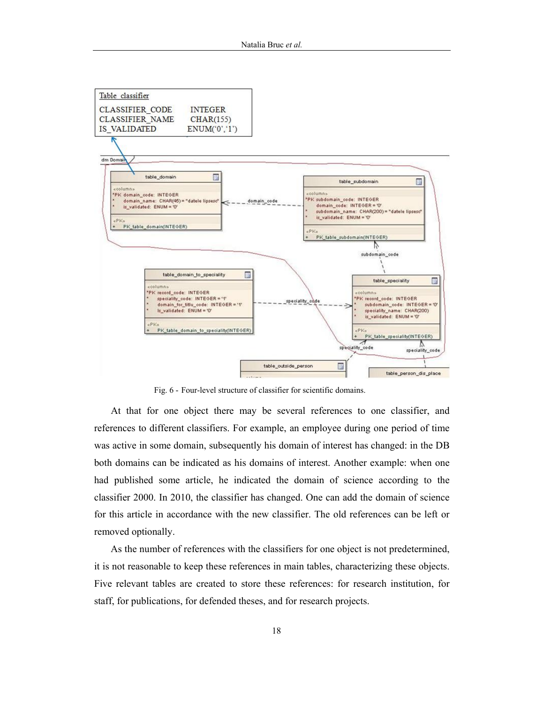

Fig. 6 - Four-level structure of classifier for scientific domains.

At that for one object there may be several references to one classifier, and references to different classifiers. For example, an employee during one period of time was active in some domain, subsequently his domain of interest has changed: in the DB both domains can be indicated as his domains of interest. Another example: when one had published some article, he indicated the domain of science according to the classifier 2000. In 2010, the classifier has changed. One can add the domain of science for this article in accordance with the new classifier. The old references can be left or removed optionally.

As the number of references with the classifiers for one object is not predetermined, it is not reasonable to keep these references in main tables, characterizing these objects. Five relevant tables are created to store these references: for research institution, for staff, for publications, for defended theses, and for research projects.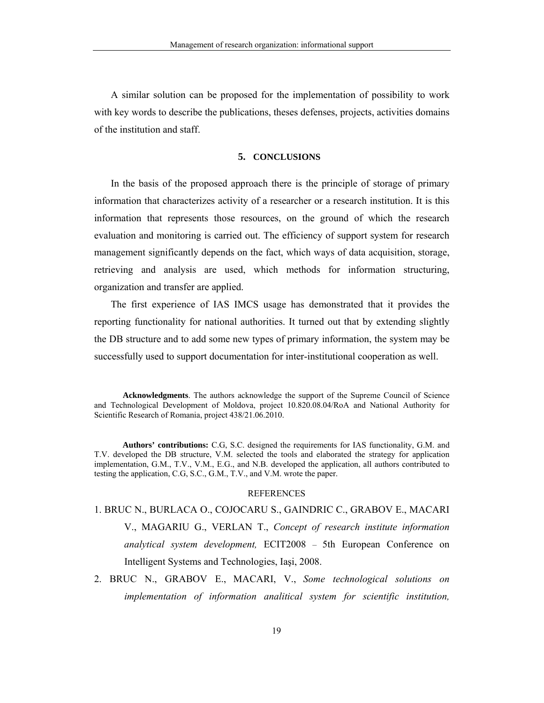A similar solution can be proposed for the implementation of possibility to work with key words to describe the publications, theses defenses, projects, activities domains of the institution and staff.

### **5. CONCLUSIONS**

In the basis of the proposed approach there is the principle of storage of primary information that characterizes activity of a researcher or a research institution. It is this information that represents those resources, on the ground of which the research evaluation and monitoring is carried out. The efficiency of support system for research management significantly depends on the fact, which ways of data acquisition, storage, retrieving and analysis are used, which methods for information structuring, organization and transfer are applied.

The first experience of IAS IMCS usage has demonstrated that it provides the reporting functionality for national authorities. It turned out that by extending slightly the DB structure and to add some new types of primary information, the system may be successfully used to support documentation for inter-institutional cooperation as well.

#### REFERENCES

- 1. BRUC N., BURLACA O., COJOCARU S., GAINDRIC C., GRABOV E., MACARI V., MAGARIU G., VERLAN T., *Concept of research institute information analytical system development,* ECIT2008 – 5th European Conference on Intelligent Systems and Technologies, Iaşi, 2008.
- 2. BRUC N., GRABOV E., MACARI, V., *Some technological solutions on implementation of information analitical system for scientific institution,*

**Acknowledgments**. The authors acknowledge the support of the Supreme Council of Science and Technological Development of Moldova, project 10.820.08.04/RoA and National Authority for Scientific Research of Romania, project 438/21.06.2010.

**Authors' contributions:** C.G, S.C. designed the requirements for IAS functionality, G.M. and T.V. developed the DB structure, V.M. selected the tools and elaborated the strategy for application implementation, G.M., T.V., V.M., E.G., and N.B. developed the application, all authors contributed to testing the application, C.G, S.C., G.M., T.V., and V.M. wrote the paper.